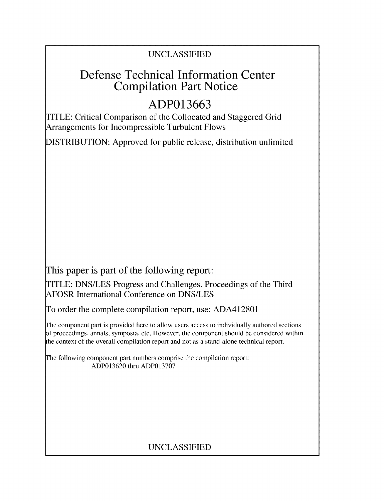# UNCLASSIFIED

# Defense Technical Information Center Compilation Part Notice

# **ADP013663**

TITLE: Critical Comparison of the Collocated and Staggered Grid Arrangements for Incompressible Turbulent Flows

DISTRIBUTION: Approved for public release, distribution unlimited

This paper is part of the following report:

TITLE: DNS/LES Progress and Challenges. Proceedings of the Third AFOSR International Conference on DNS/LES

To order the complete compilation report, use: ADA412801

The component part is provided here to allow users access to individually authored sections f proceedings, annals, symposia, etc. However, the component should be considered within the context of the overall compilation report and not as a stand-alone technical report.

The following component part numbers comprise the compilation report: ADP013620 thru ADP013707

# UNCLASSIFIED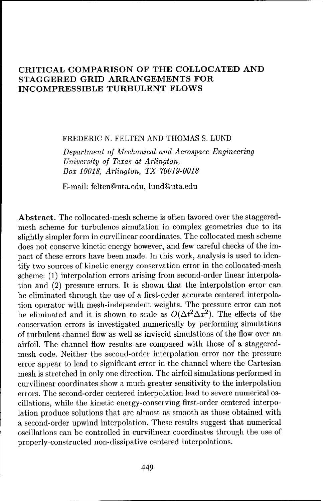# CRITICAL COMPARISON OF THE **COLLOCATED AND STAGGERED** GRID **ARRANGEMENTS** FOR INCOMPRESSIBLE **TURBULENT** FLOWS

FREDERIC N. FELTEN AND THOMAS S. LUND

Department *of Mechanical and Aerospace* Engineering *University of Texas at Arlington, Box 19018, Arlington, TX 76019-0018*

E-mail: feltenduta.edu, lund@uta.edu

Abstract. The collocated-mesh scheme is often favored over the staggeredmesh scheme for turbulence simulation in complex geometries due to its slightly simpler form in curvilinear coordinates. The collocated mesh scheme does not conserve kinetic energy however, and few careful checks of the impact of these errors have been made. In this work, analysis is used to identify two sources of kinetic energy conservation error in the collocated-mesh scheme: (1) interpolation errors arising from second-order linear interpolation and (2) pressure errors. It is shown that the interpolation error can be eliminated through the use of a first-order accurate centered interpolation operator with mesh-independent weights. The pressure error can not be eliminated and it is shown to scale as  $O(\Delta t^2 \Delta x^2)$ . The effects of the conservation errors is investigated numerically by performing simulations of turbulent channel flow as well as inviscid simulations of the flow over an airfoil. The channel flow results are compared with those of a staggeredmesh code. Neither the second-order interpolation error nor the pressure error appear to lead to significant error in the channel where the Cartesian mesh is stretched in only one direction. The airfoil simulations performed in curvilinear coordinates show a much greater sensitivity to the interpolation errors. The second-order centered interpolation lead to severe numerical oscillations, while the kinetic energy-conserving first-order centered interpolation produce solutions that are almost as smooth as those obtained with a second-order upwind interpolation. These results suggest that numerical oscillations can be controlled in curvilinear coordinates through the use of properly-constructed non-dissipative centered interpolations.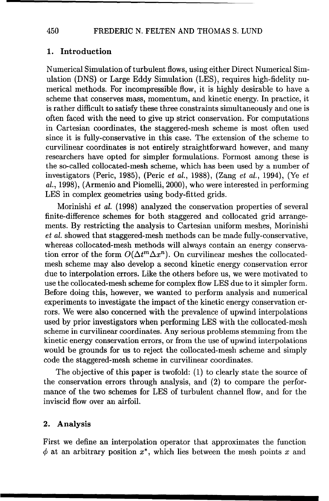### **1.** Introduction

Numerical Simulation of turbulent flows, using either Direct Numerical Simulation (DNS) or Large Eddy Simulation (LES), requires high-fidelity numerical methods. For incompressible flow, it is highly desirable to have a scheme that conserves mass, momentum, and kinetic energy. In practice, it is rather difficult to satisfy these three constraints simultaneously and one is often faced with the need to give up strict conservation. For computations in Cartesian coordinates, the staggered-mesh scheme is most often used since it is fully-conservative in this case. The extension of the scheme to curvilinear coordinates is not entirely straightforward however, and many researchers have opted for simpler formulations. Formost among these is the so-called collocated-mesh scheme, which has been used by a number of investigators (Peric, 1985), (Peric et al., 1988), (Zang et al., 1994), (Ye et al., 1998), (Armenio and Piomelli, 2000), who were interested in performing LES in complex geometries using body-fitted grids.

Morinishi et al. (1998) analyzed the conservation properties of several finite-difference schemes for both staggered and collocated grid arrangements. By restricting the analysis to Cartesian uniform meshes, Morinishi *et* al. showed that staggered-mesh methods can be made fully-conservative, whereas collocated-mesh methods will always contain an energy conservation error of the form  $O(\Delta t^m \Delta x^n)$ . On curvilinear meshes the collocatedmesh scheme may also develop a second kinetic energy conservation error due to interpolation errors. Like the others before us, we were motivated to use the collocated-mesh scheme for complex flow LES due to it simpler form. Before doing this, however, we wanted to perform analysis and numerical experiments to investigate the impact of the kinetic energy conservation errors. We were also concerned with the prevalence of upwind interpolations used by prior investigators when performing LES with the collocated-mesh scheme in curvilinear coordinates. Any serious problems stemming from the kinetic energy conservation errors, or from the use of upwind interpolations would be grounds for us to reject the collocated-mesh scheme and simply code the staggered-mesh scheme in curvilinear coordinates.

The objective of this paper is twofold: (1) to clearly state the source of the conservation errors through analysis, and (2) to compare the performance of the two schemes for LES of turbulent channel flow, and for the inviscid flow over an airfoil.

#### 2. Analysis

First we define an interpolation operator that approximates the function  $\phi$  at an arbitrary position  $x^*$ , which lies between the mesh points x and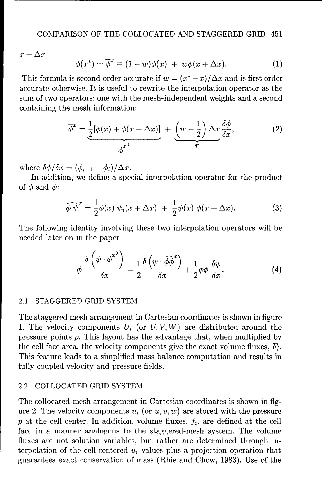$x+\Delta x$ 

$$
\phi(x^*) \simeq \overline{\phi}^x \equiv (1 - w)\phi(x) + w\phi(x + \Delta x). \tag{1}
$$

This formula is second order accurate if  $w = (x^* - x)/\Delta x$  and is first order accurate otherwise. It is useful to rewrite the interpolation operator as the sum of two operators; one with the mesh-independent weights and a second containing the mesh information:

$$
\overline{\phi}^x = \underbrace{\frac{1}{2}[\phi(x) + \phi(x + \Delta x)]}_{\overline{\phi}^x} + \underbrace{\left(w - \frac{1}{2}\right) \Delta x}_{r} \frac{\delta \phi}{\delta x},\tag{2}
$$

where  $\delta \phi / \delta x = (\phi_{i+1} - \phi_i) / \Delta x$ .

In addition, we define a special interpolation operator for the product of  $\phi$  and  $\psi$ :

$$
\widehat{\phi \psi}^x = \frac{1}{2} \phi(x) \psi_i(x + \Delta x) + \frac{1}{2} \psi(x) \phi(x + \Delta x). \tag{3}
$$

The following identity involving these two interpolation operators will be needed later on in the paper

$$
\phi \frac{\delta \left(\psi \cdot \overline{\phi}^{x^0}\right)}{\delta x} = \frac{1}{2} \frac{\delta \left(\psi \cdot \widehat{\phi \phi}^{x}\right)}{\delta x} + \frac{1}{2} \phi \phi \frac{\delta \psi}{\delta x}.
$$
\n(4)

#### 2.1. STAGGERED GRID SYSTEM

The staggered mesh arrangement in Cartesian coordinates is shown in figure 1. The velocity components  $U_i$  (or  $U, V, W$ ) are distributed around the pressure points p. This layout has the advantage that, when multiplied by the cell face area, the velocity components give the exact volume fluxes,  $F_i$ . This feature leads to a simplified mass balance computation and results in fully-coupled velocity and pressure fields.

# 2.2. COLLOCATED GRID SYSTEM

The collocated-mesh arrangement in Cartesian coordinates is shown in figure 2. The velocity components  $u_i$  (or  $u, v, w$ ) are stored with the pressure  $p$  at the cell center. In addition, volume fluxes,  $f_i$ , are defined at the cell face in a manner analogous to the staggered-mesh system. The volume fluxes are not solution variables, but rather are determined through interpolation of the cell-centered  $u_i$  values plus a projection operation that guarantees exact conservation of mass (Rhie and Chow, 1983). Use of the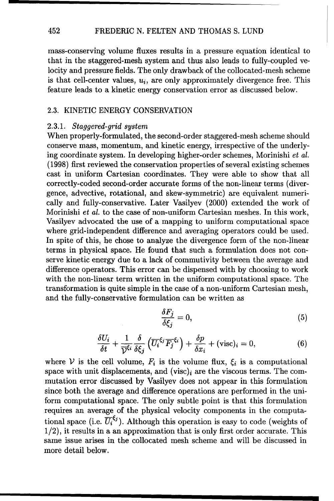#### 452 FREDERIC N. FELTEN AND THOMAS S. LUND

mass-conserving volume fluxes results in a pressure equation identical to that in the staggered-mesh system and thus also leads to fully-coupled velocity and pressure fields. The only drawback of the collocated-mesh scheme is that cell-center values,  $u_i$ , are only approximately divergence free. This feature leads to a kinetic energy conservation error as discussed below.

#### 2.3. KINETIC ENERGY CONSERVATION

#### 2.3.1. *Staggered-grid system*

When properly-formulated, the second-order staggered-mesh scheme should conserve mass, momentum, and kinetic energy, irrespective of the underlying coordinate system. In developing higher-order schemes, Morinishi et al. (1998) first reviewed the conservation properties of several existing schemes cast in uniform Cartesian coordinates. They were able to show that all correctly-coded second-order accurate forms of the non-linear terms (divergence, advective, rotational, and skew-symmetric) are equivalent numerically and fully-conservative. Later Vasilyev (2000) extended the work of Morinishi et al. to the case of non-uniform Cartesian meshes. In this work, Vasilyev advocated the use of a mapping to uniform computational space where grid-independent difference and averaging operators could be used. In spite of this, he chose to analyze the divergence form of the non-linear terms in physical space. He found that such a formulation does not conserve kinetic energy due to a lack of commutivity between the average and difference operators. This error can be dispensed with by choosing to work with the non-linear term written in the uniform computational space. The transformation is quite simple in the case of a non-uniform Cartesian mesh, and the fully-conservative formulation can be written as

$$
\frac{\delta F_j}{\delta \xi_j} = 0,\tag{5}
$$

$$
\frac{\delta U_i}{\delta t} + \frac{1}{\overline{\mathcal{V}}^{\xi_i}} \frac{\delta}{\delta \xi_j} \left( \overline{U_i}^{\xi_j} \overline{F_j}^{\xi_i} \right) + \frac{\delta p}{\delta x_i} + (\text{visc})_i = 0, \tag{6}
$$

where V is the cell volume,  $F_i$  is the volume flux,  $\xi_i$  is a computational space with unit displacements, and  $(visc)_i$  are the viscous terms. The commutation error discussed by Vasilyev does not appear in this formulation since both the average and difference operations are performed in the uniform computational space. The only subtle point is that this formulation requires an average of the physical velocity components in the computational space (i.e.  $\overline{U_i}^{\xi_j}$ ). Although this operation is easy to code (weights of 1/2), it results in a an approximation that is only first order accurate. This same issue arises in the collocated mesh scheme and will be discussed in more detail below.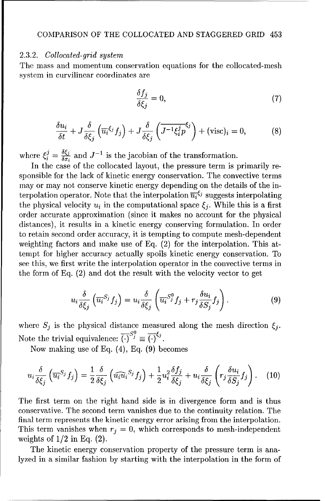#### 2.3.2. *Collocated-grid system*

The mass and momentum conservation equations for the collocated-mesh system in curvilinear coordinates are

$$
\frac{\delta f_j}{\delta \xi_j} = 0,\t\t(7)
$$

$$
\frac{\delta u_i}{\delta t} + J \frac{\delta}{\delta \xi_j} \left( \overline{u_i}^{\xi_j} f_j \right) + J \frac{\delta}{\delta \xi_j} \left( \overline{J^{-1} \xi_i^j p}^{\xi_j} \right) + (\text{visc})_i = 0, \tag{8}
$$

where  $\xi_i^j = \frac{\delta \xi_j}{\delta x_i}$  and  $J^{-1}$  is the jacobian of the transformation.

In the case of the collocated layout, the pressure term is primarily responsible for the lack of kinetic energy conservation. The convective terms may or may not conserve kinetic energy depending on the details of the interpolation operator. Note that the interpolation  $\overline{u_i}^{\xi_j}$  suggests interpolating the physical velocity  $u_i$  in the computational space  $\xi_i$ . While this is a first order accurate approximation (since it makes no account for the physical distances), it results in a kinetic energy conserving formulation. In order to retain second order accuracy, it is tempting to compute mesh-dependent weighting factors and make use of Eq. (2) for the interpolation. This attempt for higher accuracy actually spoils kinetic energy conservation. To see this, we first write the interpolation operator in the convective terms in the form of Eq. (2) and dot the result with the velocity vector to get

$$
u_i \frac{\delta}{\delta \xi_j} \left( \overline{u_i}^{S_j} f_j \right) = u_i \frac{\delta}{\delta \xi_j} \left( \overline{u_i}^{S_j^0} f_j + r_j \frac{\delta u_i}{\delta S_j} f_j \right). \tag{9}
$$

where  $S_j$  is the physical distance measured along the mesh direction  $\xi_j$ . Note the trivial equivalence:  $\overline{(\cdot)}^{S_j^0} \equiv \overline{(\cdot)}^{\xi_j}$ .

Now making use of Eq. (4), Eq. (9) becomes

$$
u_i \frac{\delta}{\delta \xi_j} \left( \overline{u_i}^{S_j} f_j \right) = \frac{1}{2} \frac{\delta}{\delta \xi_j} \left( \widehat{u_i u_i}^{S_j} f_j \right) + \frac{1}{2} u_i^2 \frac{\delta f_j}{\delta \xi_j} + u_i \frac{\delta}{\delta \xi_j} \left( r_j \frac{\delta u_i}{\delta S_j} f_j \right). \tag{10}
$$

The first term on the right hand side is in divergence form and is thus conservative. The second term vanishes due to the continuity relation. The final term represents the kinetic energy error arising from the interpolation. This term vanishes when  $r_j = 0$ , which corresponds to mesh-independent weights of  $1/2$  in Eq.  $(2)$ .

The kinetic energy conservation property of the pressure term is analyzed in a similar fashion by starting with the interpolation in the form of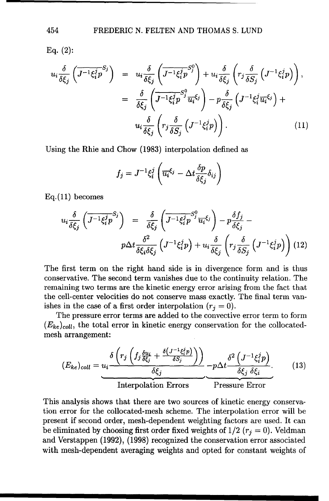Eq.  $(2)$ :

$$
u_{i} \frac{\delta}{\delta \xi_{j}} \left( \overline{J^{-1} \xi_{i}^{j} p}^{S_{j}} \right) = u_{i} \frac{\delta}{\delta \xi_{j}} \left( \overline{J^{-1} \xi_{i}^{j} p}^{S_{j}^{0}} \right) + u_{i} \frac{\delta}{\delta \xi_{j}} \left( r_{j} \frac{\delta}{\delta S_{j}} \left( J^{-1} \xi_{i}^{j} p \right) \right),
$$
  

$$
= \frac{\delta}{\delta \xi_{j}} \left( \overline{J^{-1} \xi_{i}^{j} p}^{S_{j}^{0}} \overline{u_{i}} \xi_{j} \right) - p \frac{\delta}{\delta \xi_{j}} \left( J^{-1} \xi_{i}^{j} \overline{u_{i}} \xi_{j} \right) +
$$
  

$$
u_{i} \frac{\delta}{\delta \xi_{j}} \left( r_{j} \frac{\delta}{\delta S_{j}} \left( J^{-1} \xi_{i}^{j} p \right) \right).
$$
 (11)

Using the Rhie and Chow (1983) interpolation defined as

$$
f_j = J^{-1} \xi_i^j \left( \overline{u_i}^{\xi_j} - \Delta t \frac{\delta p}{\delta \xi_j} \delta_{ij} \right)
$$

Eq.(11) becomes

$$
u_i \frac{\delta}{\delta \xi_j} \left( \overline{J^{-1} \xi_i^j p}^{S_j} \right) = \frac{\delta}{\delta \xi_j} \left( \overline{J^{-1} \xi_i^j p}^{S_j^0} \overline{u_i}^{\xi_j} \right) - p \frac{\delta f_j}{\delta \xi_j} -
$$

$$
p \Delta t \frac{\delta^2}{\delta \xi_i \delta \xi_j} \left( J^{-1} \xi_i^j p \right) + u_i \frac{\delta}{\delta \xi_j} \left( r_j \frac{\delta}{\delta S_j} \left( J^{-1} \xi_i^j p \right) \right) (12)
$$

The first term on the right hand side is in divergence form and is thus conservative. The second term vanishes due to the continuity relation. The remaining two terms are the kinetic energy error arising from the fact that the cell-center velocities do not conserve mass exactly. The final term vanishes in the case of a first order interpolation  $(r_j = 0)$ .

The pressure error terms are added to the convective error term to form  $(E_{ke})_{coll}$ , the total error in kinetic energy conservation for the collocatedmesh arrangement:

$$
(E_{ke})_{coll} = \underbrace{u_i \frac{\delta \left( r_j \left( f_j \frac{\delta u_i}{\delta \xi_j} + \frac{\delta (J^{-1} \xi_i^j p)}{\delta S_j} \right) \right)}{\delta \xi_j}}_{\text{Interpolation Errors}} - p \Delta t \frac{\delta^2 \left( J^{-1} \xi_i^j p \right)}{\delta \xi_j \delta \xi_i}}_{\text{Pressure Error}} \tag{13}
$$

This analysis shows that there are two sources of kinetic energy conservation error for the collocated-mesh scheme. The interpolation error will be present if second order, mesh-dependent weighting factors are used. It can be eliminated by choosing first order fixed weights of  $1/2$  ( $r<sub>j</sub> = 0$ ). Veldman and Verstappen (1992), (1998) recognized the conservation error associated with mesh-dependent averaging weights and opted for constant weights of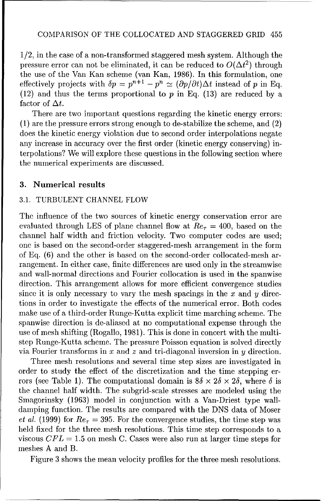1/2, in the case of a non-transformed staggered mesh system. Although the pressure error can not be eliminated, it can be reduced to  $O(\Delta t^2)$  through the use of the Van Kan scheme (van Kan, 1986). In this formulation, one effectively projects with  $\delta p = p^{n+1} - p^n \simeq (\partial p/\partial t)\Delta t$  instead of p in Eq. (12) and thus the terms proportional to  $p$  in Eq. (13) are reduced by a factor of  $\Delta t$ .

There are two important questions regarding the kinetic energy errors: (1) are the pressure errors strong enough to de-stabilize the scheme, and (2) does the kinetic energy violation due to second order interpolations negate any increase in accuracy over the first order (kinetic energy conserving) interpolations? We will explore these questions in the following section where the numerical experiments are discussed.

#### 3. Numerical results

# 3.1. TURBULENT CHANNEL FLOW

The influence of the two sources of kinetic energy conservation error are evaluated through LES of plane channel flow at  $Re<sub>\tau</sub> = 400$ , based on the channel half width and friction velocity. Two computer codes are used; one is based on the second-order staggered-mesh arrangement in the form of Eq. (6) and the other is based on the second-order collocated-mesh arrangement. In either case, finite differences are used only in the streamwise and wall-normal directions and Fourier collocation is used in the spanwise direction. This arrangement allows for more efficient convergence studies since it is only necessary to vary the mesh spacings in the  $x$  and  $y$  directions in order to investigate the effects of the numerical error. Both codes make use of a third-order Runge-Kutta explicit time marching scheme. The spanwise direction is de-aliased at no computational expense through the use of mesh shifting (Rogallo, 1981). This is done in concert with the multistep Runge-Kutta scheme. The pressure Poisson equation is solved directly via Fourier transforms in x and z and tri-diagonal inversion in y direction.

Three mesh resolutions and several time step sizes are investigated in order to study the effect of the discretization and the time stepping errors (see Table 1). The computational domain is  $8\delta \times 2\delta \times 2\delta$ , where  $\delta$  is the channel half width. The subgrid-scale stresses are modeled using the Smagorinsky (1963) model in conjunction with a Van-Driest type walldamping function. The results are compared with the DNS data of Moser *et al.* (1999) for  $Re_\tau = 395$ . For the convergence studies, the time step was held fixed for the three mesh resolutions. This time step corresponds to a viscous  $CFL = 1.5$  on mesh C. Cases were also run at larger time steps for meshes A and B.

Figure 3 shows the mean velocity profiles for the three mesh resolutions.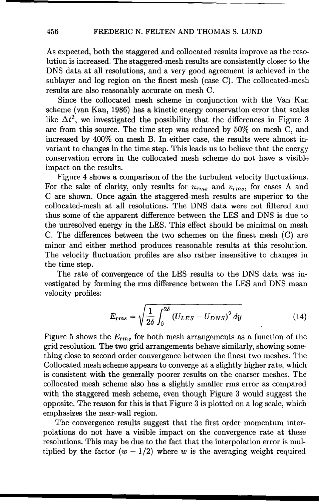As expected, both the staggered and collocated results improve as the resolution is increased. The staggered-mesh results are consistently closer to the DNS data at all resolutions, and a very good agreement is achieved in the sublayer and log region on the finest mesh (case C). The collocated-mesh results are also reasonably accurate on mesh C.

Since the collocated mesh scheme in conjunction with the Van Kan scheme (van Kan, 1986) has a kinetic energy conservation error that scales like  $\Delta t^2$ , we investigated the possibility that the differences in Figure 3 are from this source. The time step was reduced by 50% on mesh C, and increased by 400% on mesh B. In either case, the results were almost invariant to changes in the time step. This leads us to believe that the energy conservation errors in the collocated mesh scheme do not have a visible impact on the results.

Figure 4 shows a comparison of the the turbulent velocity fluctuations. For the sake of clarity, only results for *Urms* and *Vrms,* for cases A and C are shown. Once again the staggered-mesh results are superior to the collocated-mesh at all resolutions. The DNS data were not filtered and thus some of the apparent difference between the LES and DNS is due to the unresolved energy in the LES. This effect should be minimal on mesh C. The differences between the two schemes on the finest mesh (C) are minor and either method produces reasonable results at this resolution. The velocity fluctuation profiles are also rather insensitive to changes in the time step.

The rate of convergence of the LES results to the DNS data was investigated by forming the rms difference between the LES and DNS mean velocity profiles:

$$
E_{rms} = \sqrt{\frac{1}{2\delta} \int_0^{2\delta} (U_{LES} - U_{DNS})^2 dy}
$$
 (14)

Figure 5 shows the *Erms* for both mesh arrangements as a function of the grid resolution. The two grid arrangements behave similarly, showing something close to second order convergence between the finest two meshes. The Collocated mesh scheme appears to converge at a slightly higher rate, which is consistent with the generally poorer results on the coarser meshes. The collocated mesh scheme also has a slightly smaller rms error as compared with the staggered mesh scheme, even though Figure 3 would suggest the opposite. The reason for this is that Figure 3 is plotted on a log scale, which emphasizes the near-wall region.

The convergence results suggest that the first order momentum interpolations do not have a visible impact on the convergence rate at these resolutions. This may be due to the fact that the interpolation error is multiplied by the factor  $(w - 1/2)$  where w is the averaging weight required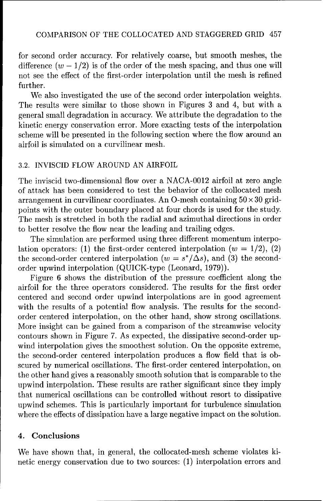for second order accuracy. For relatively coarse, but smooth meshes, the difference  $(w - 1/2)$  is of the order of the mesh spacing, and thus one will not see the effect of the first-order interpolation until the mesh is refined further.

We also investigated the use of the second order interpolation weights. The results were similar to those shown in Figures **3** and 4, but with a general small degradation in accuracy. We attribute the degradation to the kinetic energy conservation error. More exacting tests of the interpolation scheme will be presented in the following section where the flow around an airfoil is simulated on a curvilinear mesh.

#### 3.2. INVISCID FLOW AROUND AN AIRFOIL

The inviscid two-dimensional flow over a NACA-0012 airfoil at zero angle of attack has been considered to test the behavior of the collocated mesh arrangement in curvilinear coordinates. An O-mesh containing  $50 \times 30$  gridpoints with the outer boundary placed at four chords is used for the study. The mesh is stretched in both the radial and azimuthal directions in order to better resolve the flow near the leading and trailing edges.

The simulation are performed using three different momentum interpolation operators: (1) the first-order centered interpolation ( $w = 1/2$ ), (2) the second-order centered interpolation ( $w = s^*/\Delta s$ ), and (3) the secondorder upwind interpolation (QUICK-type (Leonard, 1979)).

Figure 6 shows the distribution of the pressure coefficient along the airfoil for the three operators considered. The results for the first order centered and second order upwind interpolations are in good agreement with the results of a potential flow analysis. The results for the secondorder centered interpolation, on the other hand, show strong oscillations. More insight can be gained from a comparison of the streamwise velocity contours shown in Figure 7. As expected, the dissipative second-order upwind interpolation gives the smoothest solution. On the opposite extreme, the second-order centered interpolation produces a flow field that is obscured by numerical oscillations. The first-order centered interpolation, on the other hand gives a reasonably smooth solution that is comparable to the upwind interpolation. These results are rather significant since they imply that numerical oscillations can be controlled without resort to dissipative upwind schemes. This is particularly important for turbulence simulation where the effects of dissipation have a large negative impact on the solution.

# 4. Conclusions

We have shown that, in general, the collocated-mesh scheme violates kinetic energy conservation due to two sources: (1) interpolation errors and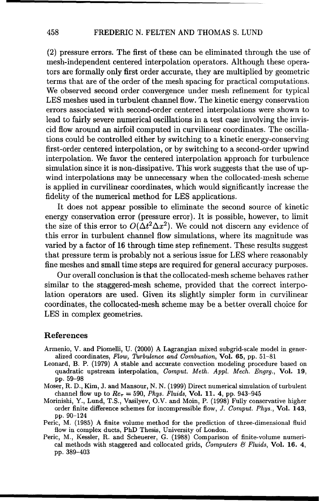(2) pressure errors. The first of these can be eliminated through the use of mesh-independent centered interpolation operators. Although these operators are formally only first order accurate, they are multiplied by geometric terms that are of the order of the mesh spacing for practical computations. We observed second order convergence under mesh refinement for typical **LES** meshes used in turbulent channel flow. The kinetic energy conservation errors associated with second-order centered interpolations were shown to lead to fairly severe numerical oscillations in a test case involving the inviscid flow around an airfoil computed in curvilinear coordinates. The oscillations could be controlled either by switching to a kinetic energy-conserving first-order centered interpolation, or by switching to a second-order upwind interpolation. We favor the centered interpolation approach for turbulence simulation since it is non-dissipative. This work suggests that the use of upwind interpolations may be unnecessary when the collocated-mesh scheme is applied in curvilinear coordinates, which would significantly increase the fidelity of the numerical method for **LES** applications.

It does not appear possible to eliminate the second source of kinetic energy conservation error (pressure error). It is possible, however, to limit the size of this error to  $O(\Delta t^2 \Delta x^2)$ . We could not discern any evidence of this error in turbulent channel flow simulations, where its magnitude was varied by a factor of 16 through time step refinement. These results suggest that pressure term is probably not a serious issue for **LES** where reasonably fine meshes and small time steps are required for general accuracy purposes.

Our overall conclusion is that the collocated-mesh scheme behaves rather similar to the staggered-mesh scheme, provided that the correct interpolation operators are used. Given its slightly simpler form in curvilinear coordinates, the collocated-mesh scheme may be a better overall choice for **LES** in complex geometries.

### References

- Armenio, V. and Piomelli, U. (2000) **A** Lagrangian mixed subgrid-scale model in generalized coordinates, Flow, Thrbulence and Combustion, Vol. **65,** pp. 51-81
- Leonard, B. P. (1979) A stable and accurate convection modeling procedure based on quadratic upstream interpolation, Comput. *Meth. Appl. Mech.* Engrg., Vol. **19,** pp. 59-98
- Moser, R. D., Kim, J. and Mansour, N. N. (1999) Direct numerical simulation of turbulent channel flow up to  $Re_\tau = 590$ , *Phys. Fluids*, **Vol. 11. 4**, pp. 943-945
- Morinishi, Y., Lund, T.S., Vasilyev, O.V. and Moin, P. (1998) Fully conservative higher order finite difference schemes for incompressible flow, *J. Comput. Phys.,* Vol. 143, pp. 90-124
- Peric, M. (1985) A finite volume method for the prediction of three-dimensional fluid flow in complex ducts, PhD Thesis, University of London.
- Peric, M., Kessler, R. and Scheuerer, G. (1988) Comparison of finite-volume numerical methods with staggered and collocated grids, Computers *&i* Fluids, Vol. 16. 4, pp. 389-403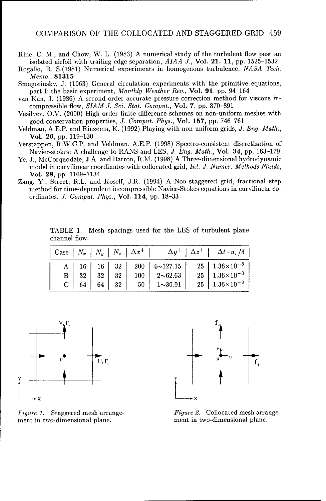- Rhie, C. M., and Chow, W. L. (1983) A numerical study of the turbulent flow past an isolated airfoil with trailing edge separation, *AIAA J.,* Vol. 21. **11,** pp. 1525-1532
- Rogallo, R. S.(1981) Numerical experiments in homogenous turbulence, *NASA Tech.* Memo., 81315
- Smagorinsky, J. (1963) General circulation experiments with the primitive equations, part I: the basic experiment, Monthly Weather Rev., Vol. 91, pp. 94-164
- van Kan, J. (1986) A second-order accurate pressure correction method for viscous incompressible flow, *SIAM J. Sci. Stat.* Comput., Vol. 7, pp. 870-891
- Vasilyev, O.V. (2000) High order finite difference schemes on non-uniform meshes with good conservation properties, J. *Comput. Phys.,* Vol. 157, pp. 746-761
- Veldman, **A.E.P.** and Rinzema, K. (1992) Playing with non-uniform grids, J. *Eng. Math.,* Vol. 26, pp. 119-130
- Verstappen, R.W.C.P. and Veldman, A.E.P. (1998) Spectro-consistent discretization of Navier-stokes: A challenge to RANS and LES, *J. Eng. Math.*, **Vol. 34**, pp. 163-179
- Ye, J., McCorquodale, J.A. and Barron, R.M. (1998) A Three-dimensional hydrodynamic model in curvilinear coordinates with collocated grid, Int. J. *Numer. Methods Fluids,* Vol. 28, pp. 1109-1134
- Zang, Y., Street, R.L. and Koseff, J.R. (1994) A Non-staggered grid, fractional step method for time-dependent incompressible Navier-Stokes equations in curvilinear coordinates, J. *Comput. Phys.,* Vol. 114, pp. 18-33

TABLE 1. Mesh spacings used for the LES of turbulent plane channel flow.

|  |  | $\begin{array}{ c c c c c c }\n\hline\n\text{Case} & N_x & N_y & N_z & \Delta x^+ \\\hline\n\end{array}$ |  | $\Delta y^+$ $\Delta z^+$ $\Delta t \cdot u_\tau/\delta$ |
|--|--|----------------------------------------------------------------------------------------------------------|--|----------------------------------------------------------|
|  |  |                                                                                                          |  |                                                          |
|  |  |                                                                                                          |  |                                                          |
|  |  |                                                                                                          |  |                                                          |



ment in two-dimensional plane. ment in two-dimensional plane.



Figure 1. Staggered mesh arrange-<br>
Figure 2. Collocated mesh arrange-